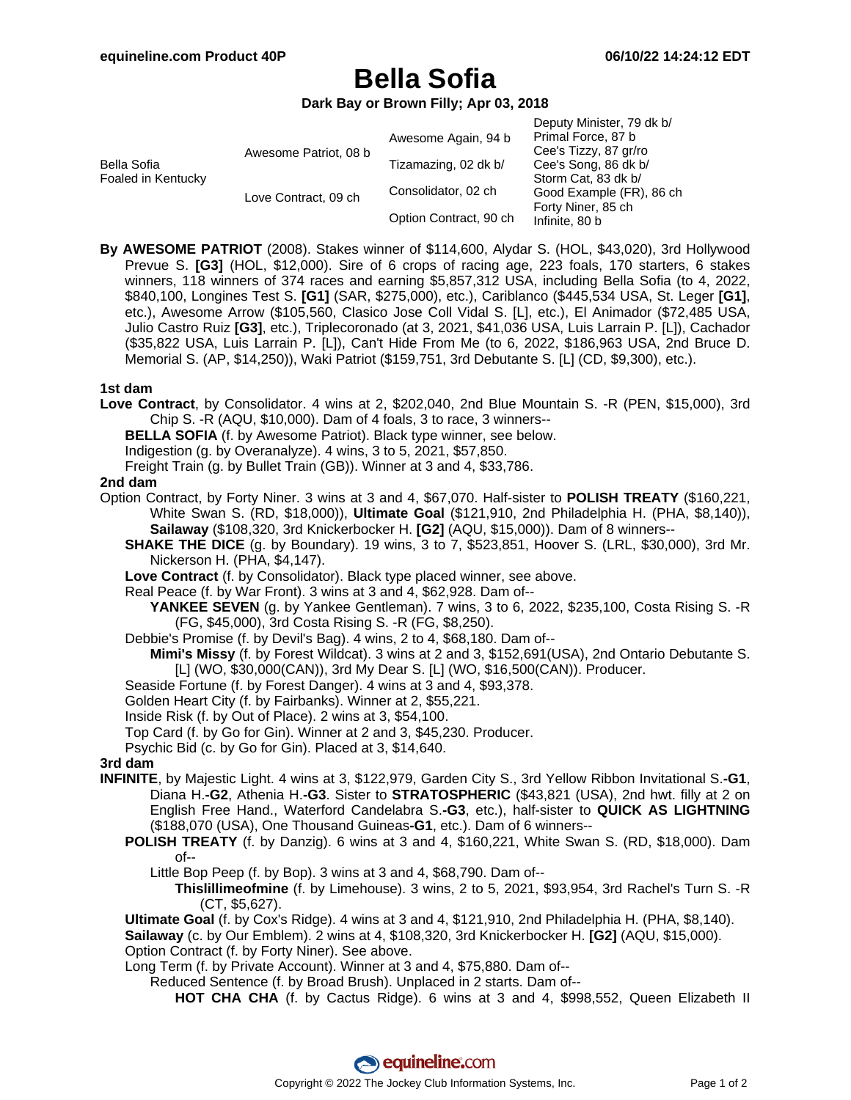# **Bella Sofia**

**Dark Bay or Brown Filly; Apr 03, 2018**

| Bella Sofia<br>Foaled in Kentucky | Awesome Patriot, 08 b | Awesome Again, 94 b    | Deputy Minister, 79 dk b/<br>Primal Force, 87 b<br>Cee's Tizzy, 87 gr/ro                                        |
|-----------------------------------|-----------------------|------------------------|-----------------------------------------------------------------------------------------------------------------|
|                                   |                       | Tizamazing, 02 dk b/   | Cee's Song, 86 dk b/<br>Storm Cat, 83 dk b/<br>Good Example (FR), 86 ch<br>Forty Niner, 85 ch<br>Infinite, 80 b |
|                                   | Love Contract, 09 ch  | Consolidator, 02 ch    |                                                                                                                 |
|                                   |                       | Option Contract, 90 ch |                                                                                                                 |

**By AWESOME PATRIOT** (2008). Stakes winner of \$114,600, Alydar S. (HOL, \$43,020), 3rd Hollywood Prevue S. **[G3]** (HOL, \$12,000). Sire of 6 crops of racing age, 223 foals, 170 starters, 6 stakes winners, 118 winners of 374 races and earning \$5,857,312 USA, including Bella Sofia (to 4, 2022, \$840,100, Longines Test S. **[G1]** (SAR, \$275,000), etc.), Cariblanco (\$445,534 USA, St. Leger **[G1]**, etc.), Awesome Arrow (\$105,560, Clasico Jose Coll Vidal S. [L], etc.), El Animador (\$72,485 USA, Julio Castro Ruiz **[G3]**, etc.), Triplecoronado (at 3, 2021, \$41,036 USA, Luis Larrain P. [L]), Cachador (\$35,822 USA, Luis Larrain P. [L]), Can't Hide From Me (to 6, 2022, \$186,963 USA, 2nd Bruce D. Memorial S. (AP, \$14,250)), Waki Patriot (\$159,751, 3rd Debutante S. [L] (CD, \$9,300), etc.).

## **1st dam**

- **Love Contract**, by Consolidator. 4 wins at 2, \$202,040, 2nd Blue Mountain S. -R (PEN, \$15,000), 3rd Chip S. -R (AQU, \$10,000). Dam of 4 foals, 3 to race, 3 winners--
	- **BELLA SOFIA** (f. by Awesome Patriot). Black type winner, see below.
	- Indigestion (g. by Overanalyze). 4 wins, 3 to 5, 2021, \$57,850.
	- Freight Train (g. by Bullet Train (GB)). Winner at 3 and 4, \$33,786.

#### **2nd dam**

- Option Contract, by Forty Niner. 3 wins at 3 and 4, \$67,070. Half-sister to **POLISH TREATY** (\$160,221, White Swan S. (RD, \$18,000)), **Ultimate Goal** (\$121,910, 2nd Philadelphia H. (PHA, \$8,140)), **Sailaway** (\$108,320, 3rd Knickerbocker H. **[G2]** (AQU, \$15,000)). Dam of 8 winners--
	- **SHAKE THE DICE** (g. by Boundary). 19 wins, 3 to 7, \$523,851, Hoover S. (LRL, \$30,000), 3rd Mr. Nickerson H. (PHA, \$4,147).
	- **Love Contract** (f. by Consolidator). Black type placed winner, see above.
	- Real Peace (f. by War Front). 3 wins at 3 and 4, \$62,928. Dam of--
		- **YANKEE SEVEN** (g. by Yankee Gentleman). 7 wins, 3 to 6, 2022, \$235,100, Costa Rising S. -R (FG, \$45,000), 3rd Costa Rising S. -R (FG, \$8,250).
	- Debbie's Promise (f. by Devil's Bag). 4 wins, 2 to 4, \$68,180. Dam of--
		- **Mimi's Missy** (f. by Forest Wildcat). 3 wins at 2 and 3, \$152,691(USA), 2nd Ontario Debutante S. [L] (WO, \$30,000(CAN)), 3rd My Dear S. [L] (WO, \$16,500(CAN)). Producer.
	- Seaside Fortune (f. by Forest Danger). 4 wins at 3 and 4, \$93,378.
	- Golden Heart City (f. by Fairbanks). Winner at 2, \$55,221.
	- Inside Risk (f. by Out of Place). 2 wins at 3, \$54,100.
	- Top Card (f. by Go for Gin). Winner at 2 and 3, \$45,230. Producer.
	- Psychic Bid (c. by Go for Gin). Placed at 3, \$14,640.

## **3rd dam**

- **INFINITE**, by Majestic Light. 4 wins at 3, \$122,979, Garden City S., 3rd Yellow Ribbon Invitational S.**-G1**, Diana H.**-G2**, Athenia H.**-G3**. Sister to **STRATOSPHERIC** (\$43,821 (USA), 2nd hwt. filly at 2 on English Free Hand., Waterford Candelabra S.**-G3**, etc.), half-sister to **QUICK AS LIGHTNING** (\$188,070 (USA), One Thousand Guineas**-G1**, etc.). Dam of 6 winners--
	- **POLISH TREATY** (f. by Danzig). 6 wins at 3 and 4, \$160,221, White Swan S. (RD, \$18,000). Dam of--
		- Little Bop Peep (f. by Bop). 3 wins at 3 and 4, \$68,790. Dam of--
			- **Thislillimeofmine** (f. by Limehouse). 3 wins, 2 to 5, 2021, \$93,954, 3rd Rachel's Turn S. -R (CT, \$5,627).
	- **Ultimate Goal** (f. by Cox's Ridge). 4 wins at 3 and 4, \$121,910, 2nd Philadelphia H. (PHA, \$8,140).

**Sailaway** (c. by Our Emblem). 2 wins at 4, \$108,320, 3rd Knickerbocker H. **[G2]** (AQU, \$15,000). Option Contract (f. by Forty Niner). See above.

- Long Term (f. by Private Account). Winner at 3 and 4, \$75,880. Dam of--
	- Reduced Sentence (f. by Broad Brush). Unplaced in 2 starts. Dam of--
		- **HOT CHA CHA** (f. by Cactus Ridge). 6 wins at 3 and 4, \$998,552, Queen Elizabeth II